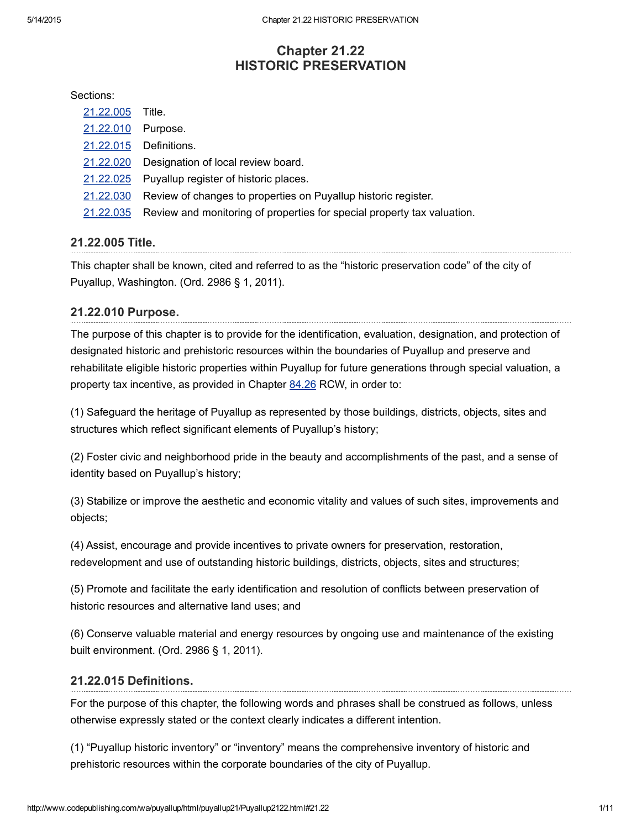# Chapter 21.22 HISTORIC PRESERVATION

#### Sections:

- [21.22.005](#page-0-2) Title.
- [21.22.010](#page-0-1) Purpose.
- [21.22.015](#page-0-0) Definitions.
- [21.22.020](#page-3-1) Designation of local review board.
- [21.22.025](#page-3-0) Puyallup [register](http://www.cityofpuyallup.org/) of historic places.
- [21.22.030](#page-5-0) Review of changes to [properties](http://www.codepublishing.com/) on Puyallup historic register.
- [21.22.035](#page-8-0) Review and monitoring of properties for special property tax valuation.

## <span id="page-0-2"></span>21.22.005 Title.

This chapter shall be known, cited and referred to as the "historic preservation code" of the city of Puyallup, Washington. (Ord. 2986 § 1, 2011).

## <span id="page-0-1"></span>21.22.010 Purpose.

The purpose of this chapter is to provide for the identification, evaluation, designation, and protection of designated historic and prehistoric resources within the boundaries of Puyallup and preserve and rehabilitate eligible historic properties within Puyallup for future generations through special valuation, a property tax incentive, as provided in Chapter [84.26](http://www.codepublishing.com/cgi-bin/rcw.pl?cite=84.26) RCW, in order to:

(1) Safeguard the heritage of Puyallup as represented by those buildings, districts, objects, sites and structures which reflect significant elements of Puyallup's history;

(2) Foster civic and neighborhood pride in the beauty and accomplishments of the past, and a sense of identity based on Puyallup's history;

(3) Stabilize or improve the aesthetic and economic vitality and values of such sites, improvements and objects;

(4) Assist, encourage and provide incentives to private owners for preservation, restoration, redevelopment and use of outstanding historic buildings, districts, objects, sites and structures;

(5) Promote and facilitate the early identification and resolution of conflicts between preservation of historic resources and alternative land uses; and

(6) Conserve valuable material and energy resources by ongoing use and maintenance of the existing built environment. (Ord. 2986 § 1, 2011).

### <span id="page-0-0"></span>21.22.015 Definitions.

For the purpose of this chapter, the following words and phrases shall be construed as follows, unless otherwise expressly stated or the context clearly indicates a different intention.

(1) "Puyallup historic inventory" or "inventory" means the comprehensive inventory of historic and prehistoric resources within the corporate boundaries of the city of Puyallup.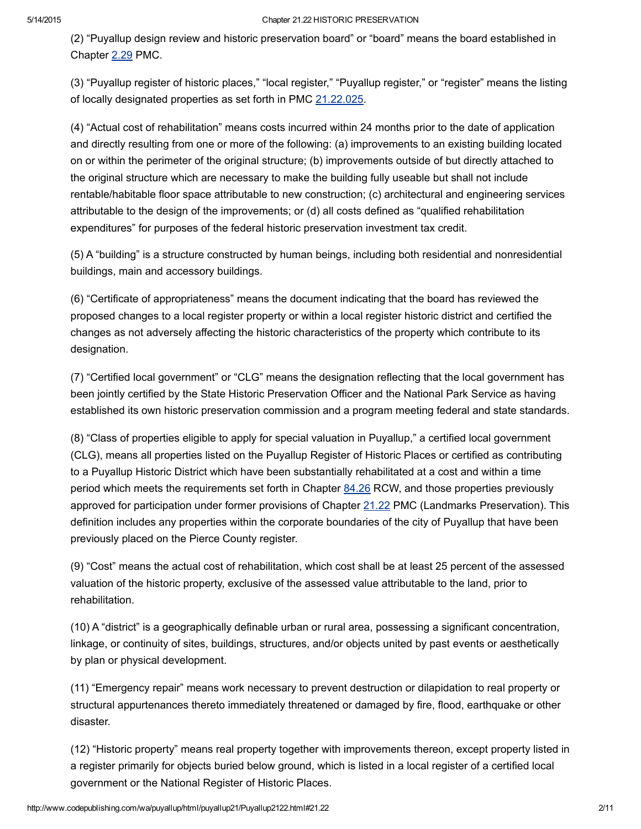(2) "Puyallup design review and historic preservation board" or "board" means the board established in Chapter [2.29](http://www.codepublishing.com/wa/puyallup/html/Puyallup02/Puyallup0229.html#2.29) PMC.

(3) "Puyallup register of historic places," "local register," "Puyallup register," or "register" means the listing of locally designated properties as set forth in PMC [21.22.025.](http://www.codepublishing.com/wa/puyallup/html/Puyallup21/Puyallup2122.html#21.22.025)

(4) "Actual cost of rehabilitation" means costs incurred within 24 months prior to the date of application and directly resulting from one or more of the following: (a) improvements to an existing building located on or within the perimeter of the original structure; (b) improvements outside of but directly attached to the original structure which are necessary to make the building fully useable but shall not include rentable/habitable floor space attributable to new construction; (c) architectural and engineering services attributable to the design of the improvements; or (d) all costs defined as "qualified rehabilitation expenditures" for purposes of the federal historic preservation investment tax credit.

(5) A "building" is a structure constructed by human beings, including both residential and nonresidential buildings, main and accessory buildings.

(6) "Certificate of appropriateness" means the document indicating that the board has reviewed the proposed changes to a local register property or within a local register historic district and certified the changes as not adversely affecting the historic characteristics of the property which contribute to its designation.

(7) "Certified local government" or "CLG" means the designation reflecting that the local government has been jointly certified by the State Historic Preservation Officer and the National Park Service as having established its own historic preservation commission and a program meeting federal and state standards.

(8) "Class of properties eligible to apply for special valuation in Puyallup," a certified local government (CLG), means all properties listed on the Puyallup Register of Historic Places or certified as contributing to a Puyallup Historic District which have been substantially rehabilitated at a cost and within a time period which meets the requirements set forth in Chapter [84.26](http://www.codepublishing.com/cgi-bin/rcw.pl?cite=84.26) RCW, and those properties previously approved for participation under former provisions of Chapter [21.22](http://www.codepublishing.com/wa/puyallup/html/Puyallup21/Puyallup2122.html#21.22) PMC (Landmarks Preservation). This definition includes any properties within the corporate boundaries of the city of Puyallup that have been previously placed on the Pierce County register.

(9) "Cost" means the actual cost of rehabilitation, which cost shall be at least 25 percent of the assessed valuation of the historic property, exclusive of the assessed value attributable to the land, prior to rehabilitation.

(10) A "district" is a geographically definable urban or rural area, possessing a significant concentration, linkage, or continuity of sites, buildings, structures, and/or objects united by past events or aesthetically by plan or physical development.

(11) "Emergency repair" means work necessary to prevent destruction or dilapidation to real property or structural appurtenances thereto immediately threatened or damaged by fire, flood, earthquake or other disaster.

(12) "Historic property" means real property together with improvements thereon, except property listed in a register primarily for objects buried below ground, which is listed in a local register of a certified local government or the National Register of Historic Places.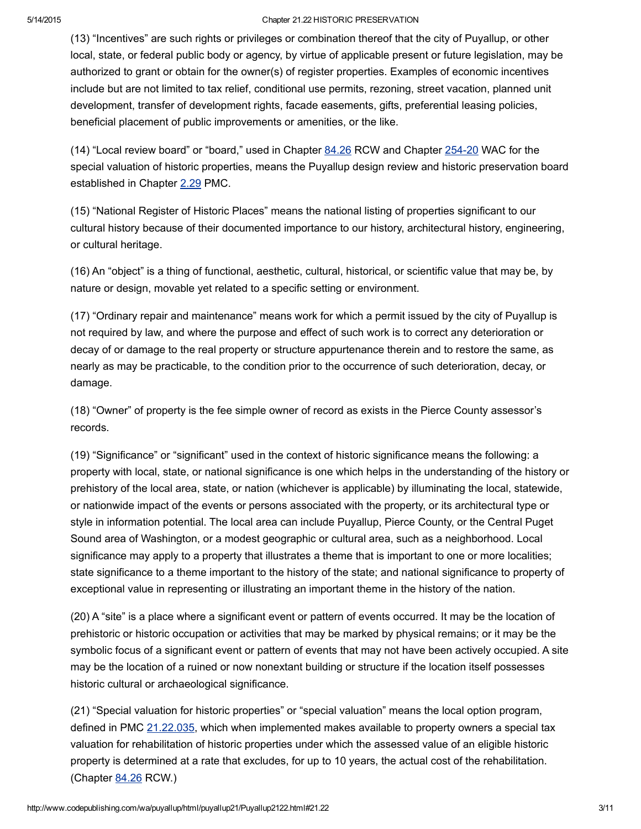(13) "Incentives" are such rights or privileges or combination thereof that the city of Puyallup, or other local, state, or federal public body or agency, by virtue of applicable present or future legislation, may be authorized to grant or obtain for the owner(s) of register properties. Examples of economic incentives include but are not limited to tax relief, conditional use permits, rezoning, street vacation, planned unit development, transfer of development rights, facade easements, gifts, preferential leasing policies, beneficial placement of public improvements or amenities, or the like.

(14) "Local review board" or "board," used in Chapter [84.26](http://www.codepublishing.com/cgi-bin/rcw.pl?cite=84.26) RCW and Chapter 254-20 WAC for the special valuation of historic properties, means the Puyallup design review and historic preservation board established in Chapter [2.29](http://www.codepublishing.com/wa/puyallup/html/Puyallup02/Puyallup0229.html#2.29) PMC.

(15) "National Register of Historic Places" means the national listing of properties significant to our cultural history because of their documented importance to our history, architectural history, engineering, or cultural heritage.

(16) An "object" is a thing of functional, aesthetic, cultural, historical, or scientific value that may be, by nature or design, movable yet related to a specific setting or environment.

(17) "Ordinary repair and maintenance" means work for which a permit issued by the city of Puyallup is not required by law, and where the purpose and effect of such work is to correct any deterioration or decay of or damage to the real property or structure appurtenance therein and to restore the same, as nearly as may be practicable, to the condition prior to the occurrence of such deterioration, decay, or damage.

(18) "Owner" of property is the fee simple owner of record as exists in the Pierce County assessor's records.

(19) "Significance" or "significant" used in the context of historic significance means the following: a property with local, state, or national significance is one which helps in the understanding of the history or prehistory of the local area, state, or nation (whichever is applicable) by illuminating the local, statewide, or nationwide impact of the events or persons associated with the property, or its architectural type or style in information potential. The local area can include Puyallup, Pierce County, or the Central Puget Sound area of Washington, or a modest geographic or cultural area, such as a neighborhood. Local significance may apply to a property that illustrates a theme that is important to one or more localities; state significance to a theme important to the history of the state; and national significance to property of exceptional value in representing or illustrating an important theme in the history of the nation.

(20) A "site" is a place where a significant event or pattern of events occurred. It may be the location of prehistoric or historic occupation or activities that may be marked by physical remains; or it may be the symbolic focus of a significant event or pattern of events that may not have been actively occupied. A site may be the location of a ruined or now nonextant building or structure if the location itself possesses historic cultural or archaeological significance.

(21) "Special valuation for historic properties" or "special valuation" means the local option program, defined in PMC [21.22.035,](http://www.codepublishing.com/wa/puyallup/html/Puyallup21/Puyallup2122.html#21.22.035) which when implemented makes available to property owners a special tax valuation for rehabilitation of historic properties under which the assessed value of an eligible historic property is determined at a rate that excludes, for up to 10 years, the actual cost of the rehabilitation. (Chapter [84.26](http://www.codepublishing.com/cgi-bin/rcw.pl?cite=84.26) RCW.)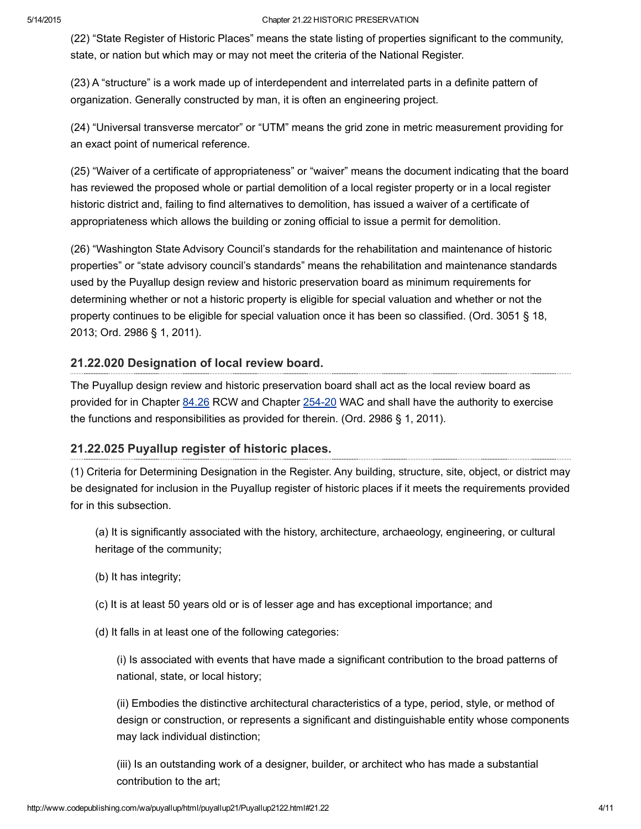(22) "State Register of Historic Places" means the state listing of properties significant to the community, state, or nation but which may or may not meet the criteria of the National Register.

(23) A "structure" is a work made up of interdependent and interrelated parts in a definite pattern of organization. Generally constructed by man, it is often an engineering project.

(24) "Universal transverse mercator" or "UTM" means the grid zone in metric measurement providing for an exact point of numerical reference.

(25) "Waiver of a certificate of appropriateness" or "waiver" means the document indicating that the board has reviewed the proposed whole or partial demolition of a local register property or in a local register historic district and, failing to find alternatives to demolition, has issued a waiver of a certificate of appropriateness which allows the building or zoning official to issue a permit for demolition.

(26) "Washington State Advisory Council's standards for the rehabilitation and maintenance of historic properties" or "state advisory council's standards" means the rehabilitation and maintenance standards used by the Puyallup design review and historic preservation board as minimum requirements for determining whether or not a historic property is eligible for special valuation and whether or not the property continues to be eligible for special valuation once it has been so classified. (Ord. 3051 § 18, 2013; Ord. 2986 § 1, 2011).

# <span id="page-3-1"></span>21.22.020 Designation of local review board.

The Puyallup design review and historic preservation board shall act as the local review board as provided for in Chapter [84.26](http://www.codepublishing.com/cgi-bin/rcw.pl?cite=84.26) RCW and Chapter 254-20 WAC and shall have the authority to exercise the functions and responsibilities as provided for therein. (Ord. 2986 § 1, 2011).

# <span id="page-3-0"></span>21.22.025 Puyallup register of historic places.

(1) Criteria for Determining Designation in the Register. Any building, structure, site, object, or district may be designated for inclusion in the Puyallup register of historic places if it meets the requirements provided for in this subsection.

(a) It is significantly associated with the history, architecture, archaeology, engineering, or cultural heritage of the community;

(b) It has integrity;

(c) It is at least 50 years old or is of lesser age and has exceptional importance; and

(d) It falls in at least one of the following categories:

(i) Is associated with events that have made a significant contribution to the broad patterns of national, state, or local history;

(ii) Embodies the distinctive architectural characteristics of a type, period, style, or method of design or construction, or represents a significant and distinguishable entity whose components may lack individual distinction;

(iii) Is an outstanding work of a designer, builder, or architect who has made a substantial contribution to the art;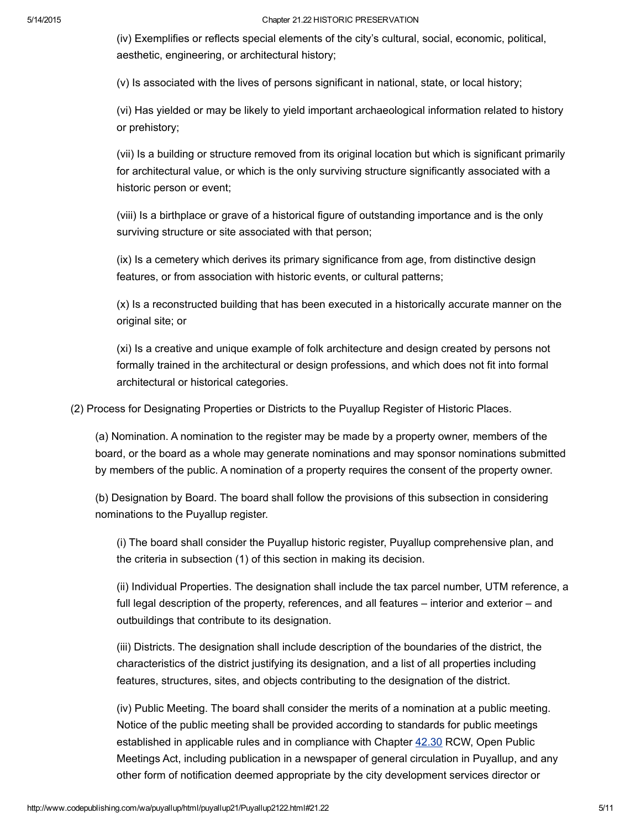(iv) Exemplifies or reflects special elements of the city's cultural, social, economic, political, aesthetic, engineering, or architectural history;

(v) Is associated with the lives of persons significant in national, state, or local history;

(vi) Has yielded or may be likely to yield important archaeological information related to history or prehistory;

(vii) Is a building or structure removed from its original location but which is significant primarily for architectural value, or which is the only surviving structure significantly associated with a historic person or event;

(viii) Is a birthplace or grave of a historical figure of outstanding importance and is the only surviving structure or site associated with that person;

(ix) Is a cemetery which derives its primary significance from age, from distinctive design features, or from association with historic events, or cultural patterns;

(x) Is a reconstructed building that has been executed in a historically accurate manner on the original site; or

(xi) Is a creative and unique example of folk architecture and design created by persons not formally trained in the architectural or design professions, and which does not fit into formal architectural or historical categories.

(2) Process for Designating Properties or Districts to the Puyallup Register of Historic Places.

(a) Nomination. A nomination to the register may be made by a property owner, members of the board, or the board as a whole may generate nominations and may sponsor nominations submitted by members of the public. A nomination of a property requires the consent of the property owner.

(b) Designation by Board. The board shall follow the provisions of this subsection in considering nominations to the Puyallup register.

(i) The board shall consider the Puyallup historic register, Puyallup comprehensive plan, and the criteria in subsection (1) of this section in making its decision.

(ii) Individual Properties. The designation shall include the tax parcel number, UTM reference, a full legal description of the property, references, and all features – interior and exterior – and outbuildings that contribute to its designation.

(iii) Districts. The designation shall include description of the boundaries of the district, the characteristics of the district justifying its designation, and a list of all properties including features, structures, sites, and objects contributing to the designation of the district.

(iv) Public Meeting. The board shall consider the merits of a nomination at a public meeting. Notice of the public meeting shall be provided according to standards for public meetings established in applicable rules and in compliance with Chapter [42.30](http://www.codepublishing.com/cgi-bin/rcw.pl?cite=42.30) RCW, Open Public Meetings Act, including publication in a newspaper of general circulation in Puyallup, and any other form of notification deemed appropriate by the city development services director or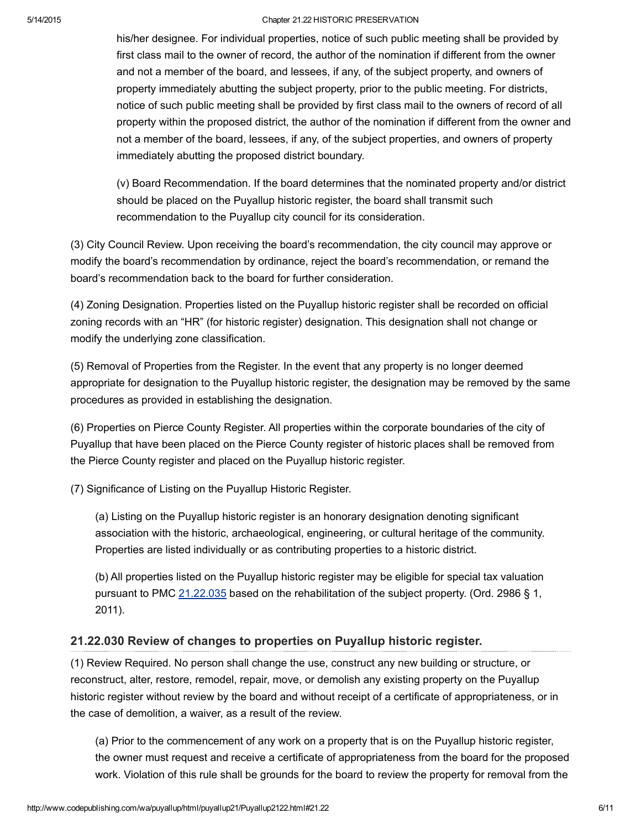his/her designee. For individual properties, notice of such public meeting shall be provided by first class mail to the owner of record, the author of the nomination if different from the owner and not a member of the board, and lessees, if any, of the subject property, and owners of property immediately abutting the subject property, prior to the public meeting. For districts, notice of such public meeting shall be provided by first class mail to the owners of record of all property within the proposed district, the author of the nomination if different from the owner and not a member of the board, lessees, if any, of the subject properties, and owners of property immediately abutting the proposed district boundary.

(v) Board Recommendation. If the board determines that the nominated property and/or district should be placed on the Puyallup historic register, the board shall transmit such recommendation to the Puyallup city council for its consideration.

(3) City Council Review. Upon receiving the board's recommendation, the city council may approve or modify the board's recommendation by ordinance, reject the board's recommendation, or remand the board's recommendation back to the board for further consideration.

(4) Zoning Designation. Properties listed on the Puyallup historic register shall be recorded on official zoning records with an "HR" (for historic register) designation. This designation shall not change or modify the underlying zone classification.

(5) Removal of Properties from the Register. In the event that any property is no longer deemed appropriate for designation to the Puyallup historic register, the designation may be removed by the same procedures as provided in establishing the designation.

(6) Properties on Pierce County Register. All properties within the corporate boundaries of the city of Puyallup that have been placed on the Pierce County register of historic places shall be removed from the Pierce County register and placed on the Puyallup historic register.

(7) Significance of Listing on the Puyallup Historic Register.

(a) Listing on the Puyallup historic register is an honorary designation denoting significant association with the historic, archaeological, engineering, or cultural heritage of the community. Properties are listed individually or as contributing properties to a historic district.

(b) All properties listed on the Puyallup historic register may be eligible for special tax valuation pursuant to PMC [21.22.035](http://www.codepublishing.com/wa/puyallup/html/Puyallup21/Puyallup2122.html#21.22.035) based on the rehabilitation of the subject property. (Ord. 2986 § 1, 2011).

# <span id="page-5-0"></span>21.22.030 Review of changes to properties on Puyallup historic register.

(1) Review Required. No person shall change the use, construct any new building or structure, or reconstruct, alter, restore, remodel, repair, move, or demolish any existing property on the Puyallup historic register without review by the board and without receipt of a certificate of appropriateness, or in the case of demolition, a waiver, as a result of the review.

(a) Prior to the commencement of any work on a property that is on the Puyallup historic register, the owner must request and receive a certificate of appropriateness from the board for the proposed work. Violation of this rule shall be grounds for the board to review the property for removal from the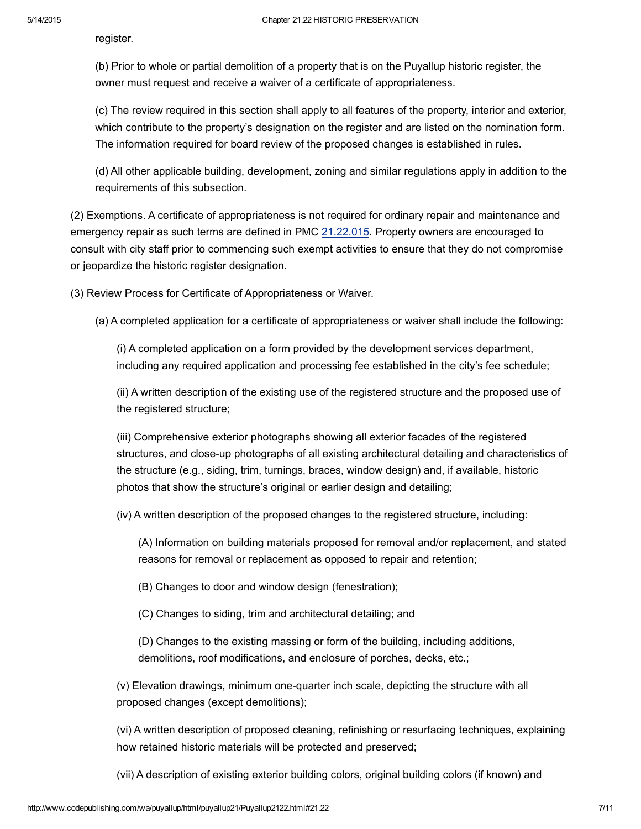register.

(b) Prior to whole or partial demolition of a property that is on the Puyallup historic register, the owner must request and receive a waiver of a certificate of appropriateness.

(c) The review required in this section shall apply to all features of the property, interior and exterior, which contribute to the property's designation on the register and are listed on the nomination form. The information required for board review of the proposed changes is established in rules.

(d) All other applicable building, development, zoning and similar regulations apply in addition to the requirements of this subsection.

(2) Exemptions. A certificate of appropriateness is not required for ordinary repair and maintenance and emergency repair as such terms are defined in PMC [21.22.015.](http://www.codepublishing.com/wa/puyallup/html/Puyallup21/Puyallup2122.html#21.22.015) Property owners are encouraged to consult with city staff prior to commencing such exempt activities to ensure that they do not compromise or jeopardize the historic register designation.

(3) Review Process for Certificate of Appropriateness or Waiver.

(a) A completed application for a certificate of appropriateness or waiver shall include the following:

(i) A completed application on a form provided by the development services department, including any required application and processing fee established in the city's fee schedule;

(ii) A written description of the existing use of the registered structure and the proposed use of the registered structure;

(iii) Comprehensive exterior photographs showing all exterior facades of the registered structures, and close-up photographs of all existing architectural detailing and characteristics of the structure (e.g., siding, trim, turnings, braces, window design) and, if available, historic photos that show the structure's original or earlier design and detailing;

(iv) A written description of the proposed changes to the registered structure, including:

(A) Information on building materials proposed for removal and/or replacement, and stated reasons for removal or replacement as opposed to repair and retention;

(B) Changes to door and window design (fenestration);

(C) Changes to siding, trim and architectural detailing; and

(D) Changes to the existing massing or form of the building, including additions, demolitions, roof modifications, and enclosure of porches, decks, etc.;

(v) Elevation drawings, minimum one-quarter inch scale, depicting the structure with all proposed changes (except demolitions);

(vi) A written description of proposed cleaning, refinishing or resurfacing techniques, explaining how retained historic materials will be protected and preserved;

(vii) A description of existing exterior building colors, original building colors (if known) and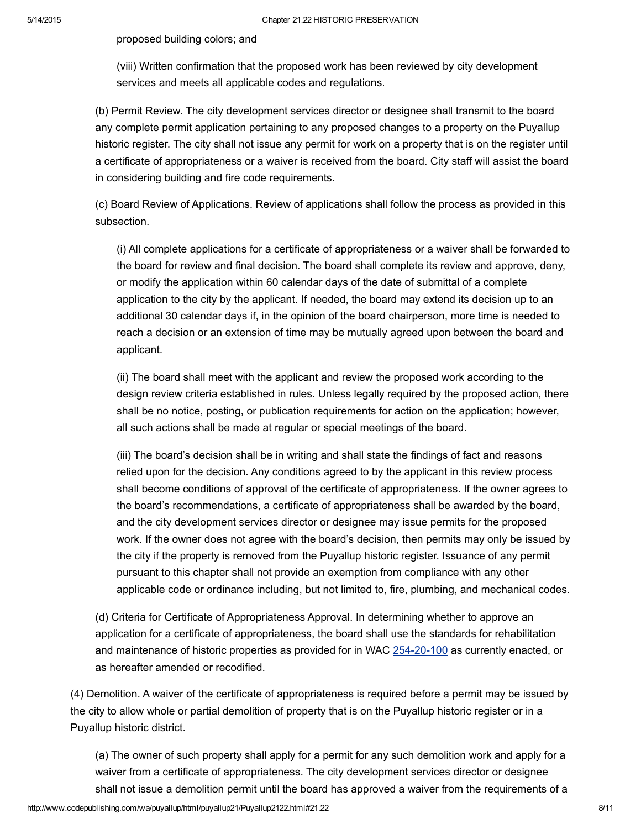proposed building colors; and

(viii) Written confirmation that the proposed work has been reviewed by city development services and meets all applicable codes and regulations.

(b) Permit Review. The city development services director or designee shall transmit to the board any complete permit application pertaining to any proposed changes to a property on the Puyallup historic register. The city shall not issue any permit for work on a property that is on the register until a certificate of appropriateness or a waiver is received from the board. City staff will assist the board in considering building and fire code requirements.

(c) Board Review of Applications. Review of applications shall follow the process as provided in this subsection.

(i) All complete applications for a certificate of appropriateness or a waiver shall be forwarded to the board for review and final decision. The board shall complete its review and approve, deny, or modify the application within 60 calendar days of the date of submittal of a complete application to the city by the applicant. If needed, the board may extend its decision up to an additional 30 calendar days if, in the opinion of the board chairperson, more time is needed to reach a decision or an extension of time may be mutually agreed upon between the board and applicant.

(ii) The board shall meet with the applicant and review the proposed work according to the design review criteria established in rules. Unless legally required by the proposed action, there shall be no notice, posting, or publication requirements for action on the application; however, all such actions shall be made at regular or special meetings of the board.

(iii) The board's decision shall be in writing and shall state the findings of fact and reasons relied upon for the decision. Any conditions agreed to by the applicant in this review process shall become conditions of approval of the certificate of appropriateness. If the owner agrees to the board's recommendations, a certificate of appropriateness shall be awarded by the board, and the city development services director or designee may issue permits for the proposed work. If the owner does not agree with the board's decision, then permits may only be issued by the city if the property is removed from the Puyallup historic register. Issuance of any permit pursuant to this chapter shall not provide an exemption from compliance with any other applicable code or ordinance including, but not limited to, fire, plumbing, and mechanical codes.

(d) Criteria for Certificate of Appropriateness Approval. In determining whether to approve an application for a certificate of appropriateness, the board shall use the standards for rehabilitation and maintenance of historic properties as provided for in WAC 254-20-100 as currently enacted, or as hereafter amended or recodified.

(4) Demolition. A waiver of the certificate of appropriateness is required before a permit may be issued by the city to allow whole or partial demolition of property that is on the Puyallup historic register or in a Puyallup historic district.

(a) The owner of such property shall apply for a permit for any such demolition work and apply for a waiver from a certificate of appropriateness. The city development services director or designee shall not issue a demolition permit until the board has approved a waiver from the requirements of a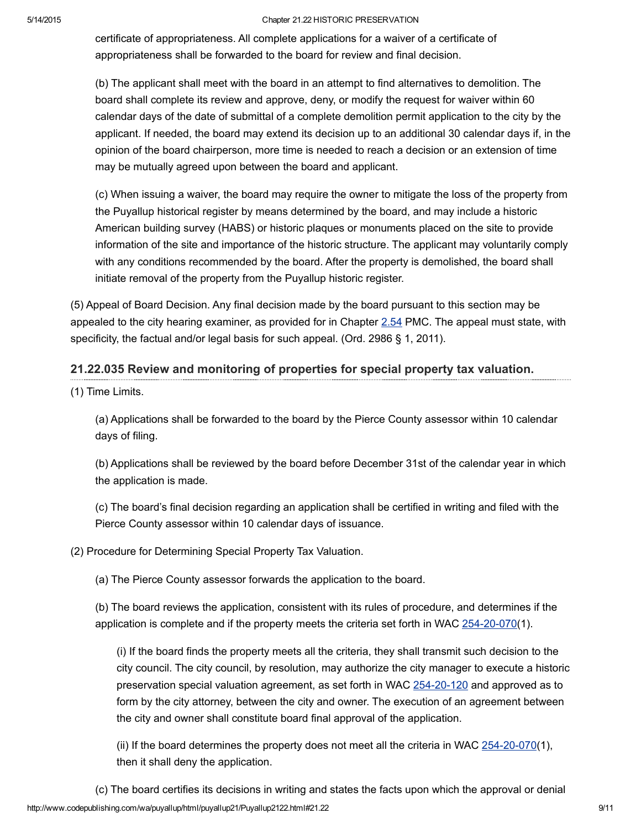certificate of appropriateness. All complete applications for a waiver of a certificate of appropriateness shall be forwarded to the board for review and final decision.

(b) The applicant shall meet with the board in an attempt to find alternatives to demolition. The board shall complete its review and approve, deny, or modify the request for waiver within 60 calendar days of the date of submittal of a complete demolition permit application to the city by the applicant. If needed, the board may extend its decision up to an additional 30 calendar days if, in the opinion of the board chairperson, more time is needed to reach a decision or an extension of time may be mutually agreed upon between the board and applicant.

(c) When issuing a waiver, the board may require the owner to mitigate the loss of the property from the Puyallup historical register by means determined by the board, and may include a historic American building survey (HABS) or historic plaques or monuments placed on the site to provide information of the site and importance of the historic structure. The applicant may voluntarily comply with any conditions recommended by the board. After the property is demolished, the board shall initiate removal of the property from the Puyallup historic register.

(5) Appeal of Board Decision. Any final decision made by the board pursuant to this section may be appealed to the city hearing examiner, as provided for in Chapter [2.54](http://www.codepublishing.com/wa/puyallup/html/Puyallup02/Puyallup0254.html#2.54) PMC. The appeal must state, with specificity, the factual and/or legal basis for such appeal. (Ord. 2986 § 1, 2011).

## <span id="page-8-0"></span>21.22.035 Review and monitoring of properties for special property tax valuation.

(1) Time Limits.

(a) Applications shall be forwarded to the board by the Pierce County assessor within 10 calendar days of filing.

(b) Applications shall be reviewed by the board before December 31st of the calendar year in which the application is made.

(c) The board's final decision regarding an application shall be certified in writing and filed with the Pierce County assessor within 10 calendar days of issuance.

(2) Procedure for Determining Special Property Tax Valuation.

(a) The Pierce County assessor forwards the application to the board.

(b) The board reviews the application, consistent with its rules of procedure, and determines if the application is complete and if the property meets the criteria set forth in WAC  $254-20-070(1)$ .

(i) If the board finds the property meets all the criteria, they shall transmit such decision to the city council. The city council, by resolution, may authorize the city manager to execute a historic preservation special valuation agreement, as set forth in WAC 254-20-120 and approved as to form by the city attorney, between the city and owner. The execution of an agreement between the city and owner shall constitute board final approval of the application.

(ii) If the board determines the property does not meet all the criteria in WAC  $254-20-070(1)$ , then it shall deny the application.

http://www.codepublishing.com/wa/puyallup/html/puyallup21/Puyallup2122.html#21.22 9/11 (c) The board certifies its decisions in writing and states the facts upon which the approval or denial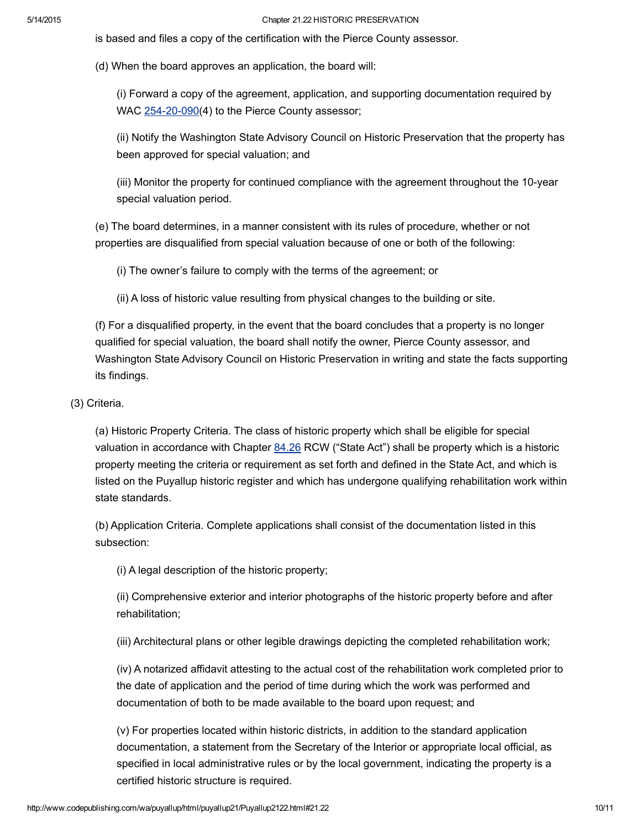is based and files a copy of the certification with the Pierce County assessor.

(d) When the board approves an application, the board will:

(i) Forward a copy of the agreement, application, and supporting documentation required by WAC  $254-20-090(4)$  to the Pierce County assessor;

(ii) Notify the Washington State Advisory Council on Historic Preservation that the property has been approved for special valuation; and

(iii) Monitor the property for continued compliance with the agreement throughout the 10-year special valuation period.

(e) The board determines, in a manner consistent with its rules of procedure, whether or not properties are disqualified from special valuation because of one or both of the following:

(i) The owner's failure to comply with the terms of the agreement; or

(ii) A loss of historic value resulting from physical changes to the building or site.

(f) For a disqualified property, in the event that the board concludes that a property is no longer qualified for special valuation, the board shall notify the owner, Pierce County assessor, and Washington State Advisory Council on Historic Preservation in writing and state the facts supporting its findings.

(3) Criteria.

(a) Historic Property Criteria. The class of historic property which shall be eligible for special valuation in accordance with Chapter [84.26](http://www.codepublishing.com/cgi-bin/rcw.pl?cite=84.26) RCW ("State Act") shall be property which is a historic property meeting the criteria or requirement as set forth and defined in the State Act, and which is listed on the Puyallup historic register and which has undergone qualifying rehabilitation work within state standards.

(b) Application Criteria. Complete applications shall consist of the documentation listed in this subsection:

(i) A legal description of the historic property;

(ii) Comprehensive exterior and interior photographs of the historic property before and after rehabilitation;

(iii) Architectural plans or other legible drawings depicting the completed rehabilitation work;

(iv) A notarized affidavit attesting to the actual cost of the rehabilitation work completed prior to the date of application and the period of time during which the work was performed and documentation of both to be made available to the board upon request; and

(v) For properties located within historic districts, in addition to the standard application documentation, a statement from the Secretary of the Interior or appropriate local official, as specified in local administrative rules or by the local government, indicating the property is a certified historic structure is required.